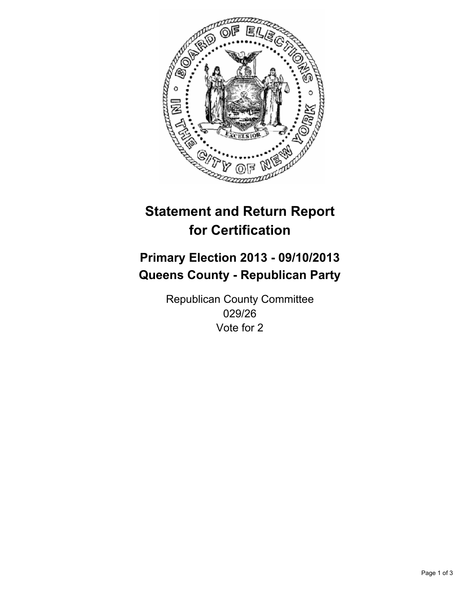

# **Statement and Return Report for Certification**

# **Primary Election 2013 - 09/10/2013 Queens County - Republican Party**

Republican County Committee 029/26 Vote for 2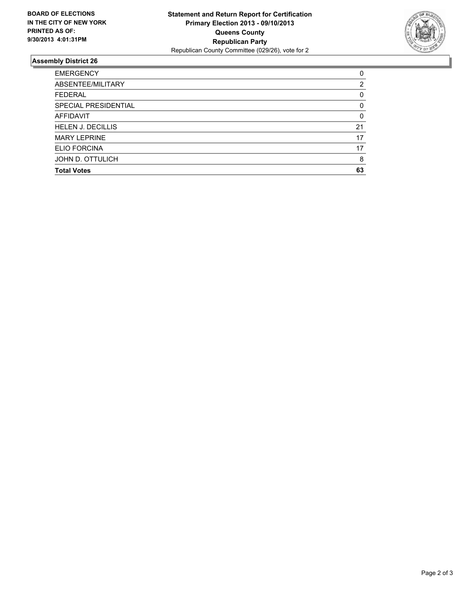

## **Assembly District 26**

| <b>EMERGENCY</b>         | 0        |
|--------------------------|----------|
| ABSENTEE/MILITARY        | 2        |
| <b>FEDERAL</b>           | 0        |
| SPECIAL PRESIDENTIAL     | 0        |
| <b>AFFIDAVIT</b>         | $\Omega$ |
| <b>HELEN J. DECILLIS</b> | 21       |
| <b>MARY LEPRINE</b>      | 17       |
| ELIO FORCINA             | 17       |
| JOHN D. OTTULICH         | 8        |
| <b>Total Votes</b>       | 63       |
|                          |          |